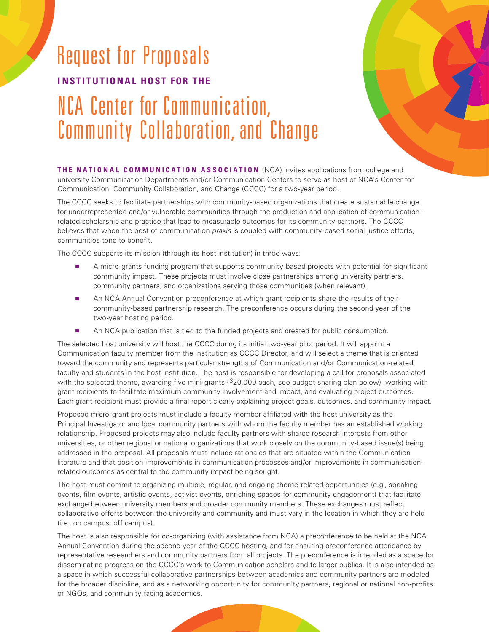## Request for Proposals **INSTITUTIONAL HOST FOR THE** NCA Center for Communication, Community Collaboration, and Change



**THE NATIONAL COMMUNICATION ASSOCIATION** (NCA) invites applications from college and university Communication Departments and/or Communication Centers to serve as host of NCA's Center for Communication, Community Collaboration, and Change (CCCC) for a two-year period.

The CCCC seeks to facilitate partnerships with community-based organizations that create sustainable change for underrepresented and/or vulnerable communities through the production and application of communicationrelated scholarship and practice that lead to measurable outcomes for its community partners. The CCCC believes that when the best of communication *praxis* is coupled with community-based social justice efforts, communities tend to benefit.

The CCCC supports its mission (through its host institution) in three ways:

- A micro-grants funding program that supports community-based projects with potential for significant community impact. These projects must involve close partnerships among university partners, community partners, and organizations serving those communities (when relevant).
- An NCA Annual Convention preconference at which grant recipients share the results of their community-based partnership research. The preconference occurs during the second year of the two-year hosting period.
- An NCA publication that is tied to the funded projects and created for public consumption.

The selected host university will host the CCCC during its initial two-year pilot period. It will appoint a Communication faculty member from the institution as CCCC Director, and will select a theme that is oriented toward the community and represents particular strengths of Communication and/or Communication-related faculty and students in the host institution. The host is responsible for developing a call for proposals associated with the selected theme, awarding five mini-grants (\$20,000 each, see budget-sharing plan below), working with grant recipients to facilitate maximum community involvement and impact, and evaluating project outcomes. Each grant recipient must provide a final report clearly explaining project goals, outcomes, and community impact.

Proposed micro-grant projects must include a faculty member affiliated with the host university as the Principal Investigator and local community partners with whom the faculty member has an established working relationship. Proposed projects may also include faculty partners with shared research interests from other universities, or other regional or national organizations that work closely on the community-based issue(s) being addressed in the proposal. All proposals must include rationales that are situated within the Communication literature and that position improvements in communication processes and/or improvements in communicationrelated outcomes as central to the community impact being sought.

The host must commit to organizing multiple, regular, and ongoing theme-related opportunities (e.g., speaking events, film events, artistic events, activist events, enriching spaces for community engagement) that facilitate exchange between university members and broader community members. These exchanges must reflect collaborative efforts between the university and community and must vary in the location in which they are held (i.e., on campus, off campus).

The host is also responsible for co-organizing (with assistance from NCA) a preconference to be held at the NCA Annual Convention during the second year of the CCCC hosting, and for ensuring preconference attendance by representative researchers and community partners from all projects. The preconference is intended as a space for disseminating progress on the CCCC's work to Communication scholars and to larger publics. It is also intended as a space in which successful collaborative partnerships between academics and community partners are modeled for the broader discipline, and as a networking opportunity for community partners, regional or national non-profits or NGOs, and community-facing academics.